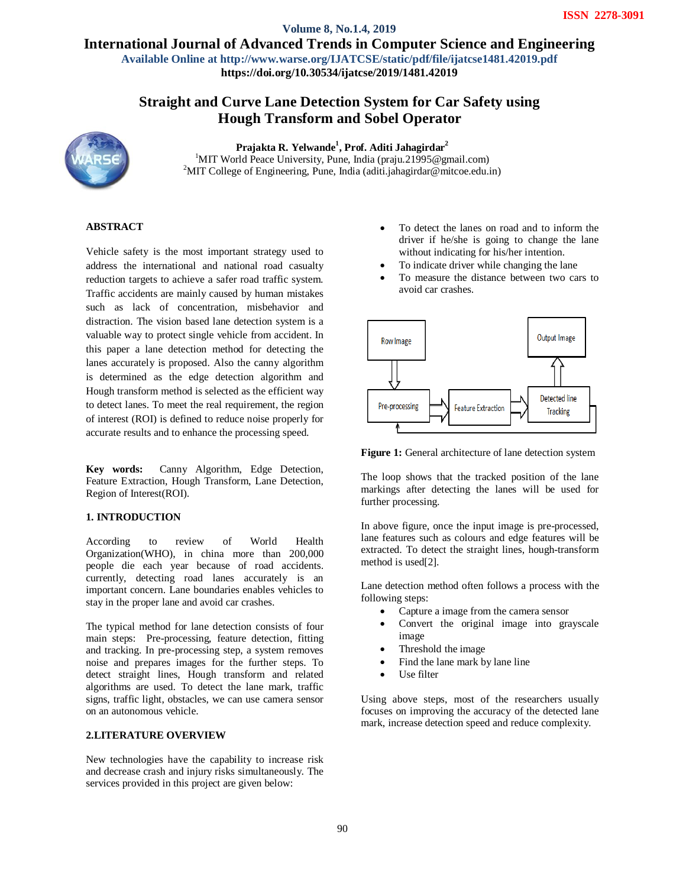International Journal of Advanced Trends in Computer Science and Engineering **Volume 8, No.1.4, 2019**

**Available Online at http://www.warse.org/IJATCSE/static/pdf/file/ijatcse1481.42019.pdf**

**https://doi.org/10.30534/ijatcse/2019/1481.42019**

# **Straight and Curve Lane Detection System for Car Safety using Hough Transform and Sobel Operator**



**Prajakta R. Yelwande<sup>1</sup> , Prof. Aditi Jahagirdar<sup>2</sup>** <sup>1</sup>MIT World Peace University, Pune, India (praju.21995@gmail.com) <sup>2</sup>MIT College of Engineering, Pune, India (aditi.jahagirdar@mitcoe.edu.in)

# **ABSTRACT**

Vehicle safety is the most important strategy used to address the international and national road casualty reduction targets to achieve a safer road traffic system. Traffic accidents are mainly caused by human mistakes such as lack of concentration, misbehavior and distraction. The vision based lane detection system is a valuable way to protect single vehicle from accident. In this paper a lane detection method for detecting the lanes accurately is proposed. Also the canny algorithm is determined as the edge detection algorithm and Hough transform method is selected as the efficient way to detect lanes. To meet the real requirement, the region of interest (ROI) is defined to reduce noise properly for accurate results and to enhance the processing speed.

**Key words:** Canny Algorithm, Edge Detection, Feature Extraction, Hough Transform, Lane Detection, Region of Interest(ROI).

# **1. INTRODUCTION**

According to review of World Health Organization(WHO), in china more than 200,000 people die each year because of road accidents. currently, detecting road lanes accurately is an important concern. Lane boundaries enables vehicles to stay in the proper lane and avoid car crashes.

The typical method for lane detection consists of four main steps: Pre-processing, feature detection, fitting and tracking. In pre-processing step, a system removes noise and prepares images for the further steps. To detect straight lines, Hough transform and related algorithms are used. To detect the lane mark, traffic signs, traffic light, obstacles, we can use camera sensor on an autonomous vehicle.

# **2.LITERATURE OVERVIEW**

New technologies have the capability to increase risk and decrease crash and injury risks simultaneously. The services provided in this project are given below:

- To detect the lanes on road and to inform the driver if he/she is going to change the lane without indicating for his/her intention.
- To indicate driver while changing the lane
- To measure the distance between two cars to avoid car crashes.



**Figure 1:** General architecture of lane detection system

The loop shows that the tracked position of the lane markings after detecting the lanes will be used for further processing.

In above figure, once the input image is pre-processed, lane features such as colours and edge features will be extracted. To detect the straight lines, hough-transform method is used[2].

Lane detection method often follows a process with the following steps:

- Capture a image from the camera sensor
- Convert the original image into grayscale image
- Threshold the image
- Find the lane mark by lane line
- Use filter

Using above steps, most of the researchers usually focuses on improving the accuracy of the detected lane mark, increase detection speed and reduce complexity.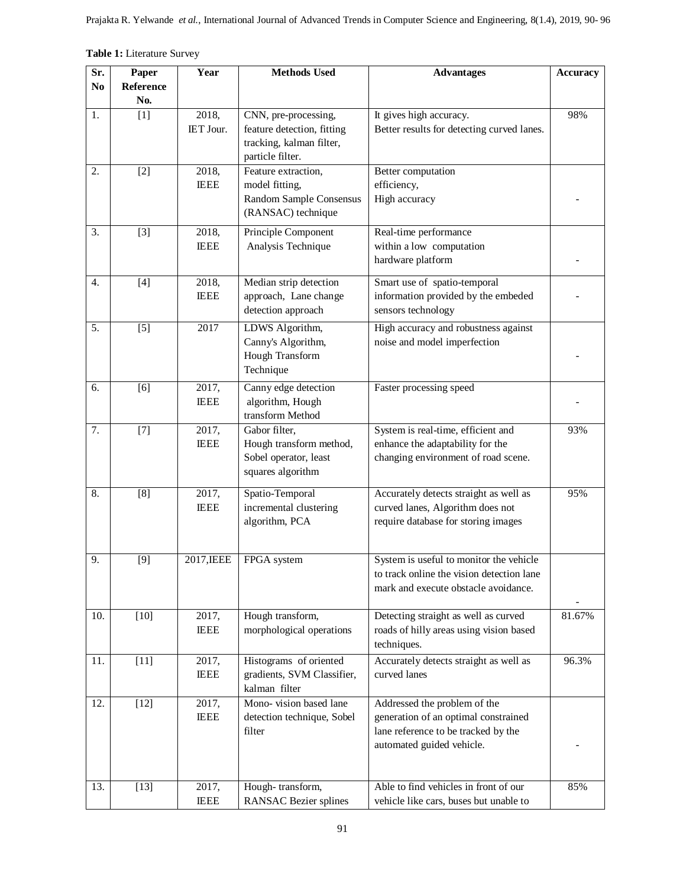|  |  | Table 1: Literature Survey |  |
|--|--|----------------------------|--|
|--|--|----------------------------|--|

| Sr.            | Paper            | Year                 | <b>Methods Used</b>                                                                                | <b>Advantages</b>                                                                                                                        | <b>Accuracy</b> |
|----------------|------------------|----------------------|----------------------------------------------------------------------------------------------------|------------------------------------------------------------------------------------------------------------------------------------------|-----------------|
| N <sub>0</sub> | Reference<br>No. |                      |                                                                                                    |                                                                                                                                          |                 |
| 1.             | $[1]$            | 2018,<br>IET Jour.   | CNN, pre-processing,<br>feature detection, fitting<br>tracking, kalman filter,<br>particle filter. | It gives high accuracy.<br>Better results for detecting curved lanes.                                                                    | 98%             |
| 2.             | $[2]$            | 2018,<br><b>IEEE</b> | Feature extraction,<br>model fitting,<br>Random Sample Consensus<br>(RANSAC) technique             | Better computation<br>efficiency,<br>High accuracy                                                                                       |                 |
| 3.             | $[3]$            | 2018,<br><b>IEEE</b> | Principle Component<br>Analysis Technique                                                          | Real-time performance<br>within a low computation<br>hardware platform                                                                   |                 |
| 4.             | $[4]$            | 2018,<br><b>IEEE</b> | Median strip detection<br>approach, Lane change<br>detection approach                              | Smart use of spatio-temporal<br>information provided by the embeded<br>sensors technology                                                |                 |
| 5.             | $[5]$            | 2017                 | LDWS Algorithm,<br>Canny's Algorithm,<br>Hough Transform<br>Technique                              | High accuracy and robustness against<br>noise and model imperfection                                                                     |                 |
| 6.             | [6]              | 2017,<br><b>IEEE</b> | Canny edge detection<br>algorithm, Hough<br>transform Method                                       | Faster processing speed                                                                                                                  |                 |
| 7.             | $\boxed{7}$      | 2017,<br><b>IEEE</b> | Gabor filter,<br>Hough transform method,<br>Sobel operator, least<br>squares algorithm             | System is real-time, efficient and<br>enhance the adaptability for the<br>changing environment of road scene.                            | 93%             |
| 8.             | [8]              | 2017,<br><b>IEEE</b> | Spatio-Temporal<br>incremental clustering<br>algorithm, PCA                                        | Accurately detects straight as well as<br>curved lanes, Algorithm does not<br>require database for storing images                        | 95%             |
| 9.             | [9]              | 2017, IEEE           | FPGA system                                                                                        | System is useful to monitor the vehicle<br>to track online the vision detection lane<br>mark and execute obstacle avoidance.             |                 |
| 10.            | $[10]$           | 2017,<br><b>IEEE</b> | Hough transform,<br>morphological operations                                                       | Detecting straight as well as curved<br>roads of hilly areas using vision based<br>techniques.                                           | 81.67%          |
| 11.            | $[11]$           | 2017,<br><b>IEEE</b> | Histograms of oriented<br>gradients, SVM Classifier,<br>kalman filter                              | Accurately detects straight as well as<br>curved lanes                                                                                   | 96.3%           |
| 12.            | $[12]$           | 2017,<br><b>IEEE</b> | Mono-vision based lane<br>detection technique, Sobel<br>filter                                     | Addressed the problem of the<br>generation of an optimal constrained<br>lane reference to be tracked by the<br>automated guided vehicle. |                 |
| 13.            | $[13]$           | 2017,<br><b>IEEE</b> | Hough-transform,<br><b>RANSAC Bezier splines</b>                                                   | Able to find vehicles in front of our<br>vehicle like cars, buses but unable to                                                          | 85%             |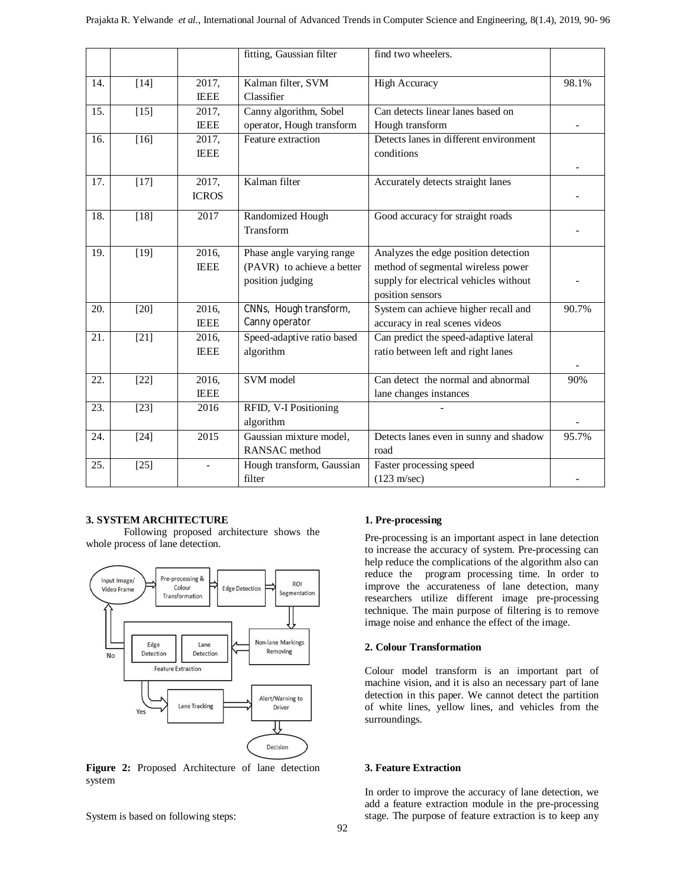|     |                   |                       | fitting, Gaussian filter                                                    | find two wheelers.                                                                                                                       |       |
|-----|-------------------|-----------------------|-----------------------------------------------------------------------------|------------------------------------------------------------------------------------------------------------------------------------------|-------|
| 14. | $[14]$            | 2017,<br><b>IEEE</b>  | Kalman filter, SVM<br>Classifier                                            | <b>High Accuracy</b>                                                                                                                     | 98.1% |
| 15. | $\overline{[15]}$ | 2017,<br><b>IEEE</b>  | Canny algorithm, Sobel<br>operator, Hough transform                         | Can detects linear lanes based on<br>Hough transform                                                                                     |       |
| 16. | $[16]$            | 2017,<br><b>IEEE</b>  | Feature extraction                                                          | Detects lanes in different environment<br>conditions                                                                                     |       |
| 17. | $[17]$            | 2017,<br><b>ICROS</b> | Kalman filter                                                               | Accurately detects straight lanes                                                                                                        |       |
| 18. | $[18]$            | 2017                  | Randomized Hough<br>Transform                                               | Good accuracy for straight roads                                                                                                         |       |
| 19. | $[19]$            | 2016,<br><b>IEEE</b>  | Phase angle varying range<br>(PAVR) to achieve a better<br>position judging | Analyzes the edge position detection<br>method of segmental wireless power<br>supply for electrical vehicles without<br>position sensors |       |
| 20. | $[20]$            | 2016,<br><b>IEEE</b>  | CNNs, Hough transform,<br>Canny operator                                    | System can achieve higher recall and<br>accuracy in real scenes videos                                                                   | 90.7% |
| 21. | $[21]$            | 2016,<br><b>IEEE</b>  | Speed-adaptive ratio based<br>algorithm                                     | Can predict the speed-adaptive lateral<br>ratio between left and right lanes                                                             |       |
| 22. | $[22]$            | 2016,<br><b>IEEE</b>  | SVM model                                                                   | Can detect the normal and abnormal<br>lane changes instances                                                                             | 90%   |
| 23. | $[23]$            | 2016                  | RFID, V-I Positioning<br>algorithm                                          |                                                                                                                                          |       |
| 24. | $[24]$            | 2015                  | Gaussian mixture model,<br>RANSAC method                                    | Detects lanes even in sunny and shadow<br>road                                                                                           | 95.7% |
| 25. | $[25]$            |                       | Hough transform, Gaussian<br>filter                                         | Faster processing speed<br>$(123 \text{ m/sec})$                                                                                         |       |

# **3. SYSTEM ARCHITECTURE**

Following proposed architecture shows the whole process of lane detection.



**Figure 2:** Proposed Architecture of lane detection system

System is based on following steps:

# **1. Pre-processing**

Pre-processing is an important aspect in lane detection to increase the accuracy of system. Pre-processing can help reduce the complications of the algorithm also can reduce the program processing time. In order to improve the accurateness of lane detection, many researchers utilize different image pre-processing technique. The main purpose of filtering is to remove image noise and enhance the effect of the image.

#### **2. Colour Transformation**

Colour model transform is an important part of machine vision, and it is also an necessary part of lane detection in this paper. We cannot detect the partition of white lines, yellow lines, and vehicles from the surroundings.

#### **3. Feature Extraction**

In order to improve the accuracy of lane detection, we add a feature extraction module in the pre-processing stage. The purpose of feature extraction is to keep any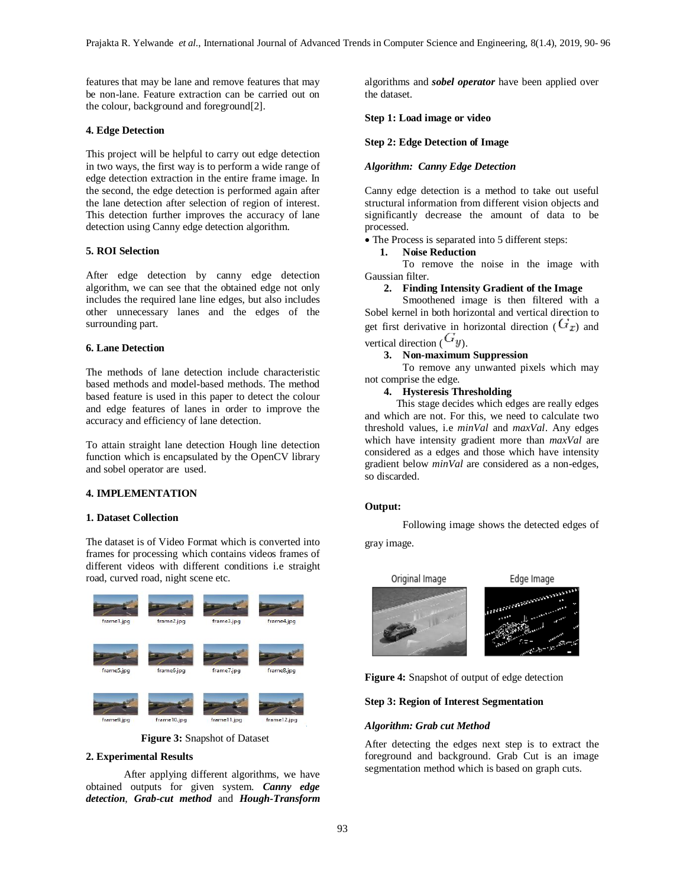features that may be lane and remove features that may be non-lane. Feature extraction can be carried out on the colour, background and foreground[2].

### **4. Edge Detection**

This project will be helpful to carry out edge detection in two ways, the first way is to perform a wide range of edge detection extraction in the entire frame image. In the second, the edge detection is performed again after the lane detection after selection of region of interest. This detection further improves the accuracy of lane detection using Canny edge detection algorithm.

### **5. ROI Selection**

After edge detection by canny edge detection algorithm, we can see that the obtained edge not only includes the required lane line edges, but also includes other unnecessary lanes and the edges of the surrounding part.

#### **6. Lane Detection**

The methods of lane detection include characteristic based methods and model-based methods. The method based feature is used in this paper to detect the colour and edge features of lanes in order to improve the accuracy and efficiency of lane detection.

To attain straight lane detection Hough line detection function which is encapsulated by the OpenCV library and sobel operator are used.

# **4. IMPLEMENTATION**

### **1. Dataset Collection**

The dataset is of Video Format which is converted into frames for processing which contains videos frames of different videos with different conditions i.e straight road, curved road, night scene etc.



 **Figure 3:** Snapshot of Dataset

#### **2. Experimental Results**

After applying different algorithms, we have obtained outputs for given system. *Canny edge detection*, *Grab-cut method* and *Hough-Transform* algorithms and *sobel operator* have been applied over the dataset.

## **Step 1: Load image or video**

# **Step 2: Edge Detection of Image**

### *Algorithm: Canny Edge Detection*

Canny edge detection is a method to take out useful structural information from different vision objects and significantly decrease the amount of data to be processed.

The Process is separated into 5 different steps:

# **1. Noise Reduction**

To remove the noise in the image with Gaussian filter.

# **2. Finding Intensity Gradient of the Image**

Smoothened image is then filtered with a Sobel kernel in both horizontal and vertical direction to get first derivative in horizontal direction  $(G_x)$  and vertical direction  $\left( \mathcal{L} \mathcal{Y} \right)$ .

# **3. Non-maximum Suppression**

To remove any unwanted pixels which may not comprise the edge.

### **4. Hysteresis Thresholding**

 This stage decides which edges are really edges and which are not. For this, we need to calculate two threshold values, i.e *minVal* and *maxVal*. Any edges which have intensity gradient more than *maxVal* are considered as a edges and those which have intensity gradient below *minVal* are considered as a non-edges, so discarded.

### **Output:**

Following image shows the detected edges of

gray image.



**Figure 4:** Snapshot of output of edge detection

#### **Step 3: Region of Interest Segmentation**

#### *Algorithm: Grab cut Method*

After detecting the edges next step is to extract the foreground and background. Grab Cut is an image segmentation method which is based on graph cuts.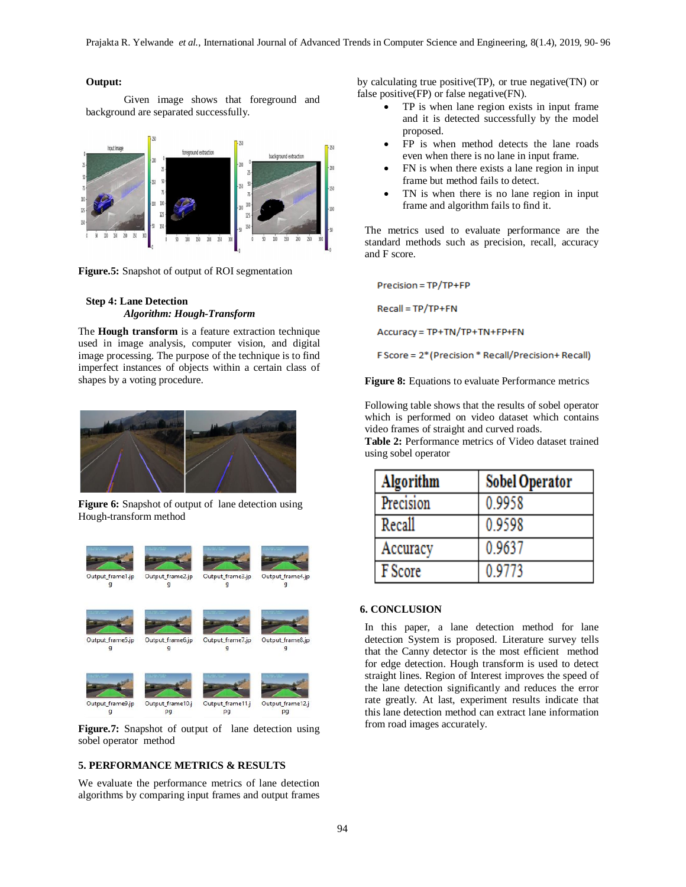### **Output:**

Given image shows that foreground and background are separated successfully.



**Figure.5:** Snapshot of output of ROI segmentation

# **Step 4: Lane Detection** *Algorithm: Hough-Transform*

The **Hough transform** is a feature extraction technique used in image analysis, computer vision, and digital image processing. The purpose of the technique is to find imperfect instances of objects within a certain class of shapes by a voting procedure.



**Figure 6:** Snapshot of output of lane detection using Hough-transform method



**Figure.7:** Snapshot of output of lane detection using sobel operator method

# **5. PERFORMANCE METRICS & RESULTS**

We evaluate the performance metrics of lane detection algorithms by comparing input frames and output frames

by calculating true positive(TP), or true negative(TN) or false positive(FP) or false negative(FN).

- TP is when lane region exists in input frame and it is detected successfully by the model proposed.
- FP is when method detects the lane roads even when there is no lane in input frame.
- FN is when there exists a lane region in input frame but method fails to detect.
- TN is when there is no lane region in input frame and algorithm fails to find it.

The metrics used to evaluate performance are the standard methods such as precision, recall, accuracy and F score.

 $Precision = TP/TP + FP$ 

Recall = TP/TP+FN

Accuracy = TP+TN/TP+TN+FP+FN

F Score = 2\* (Precision \* Recall/Precision+ Recall)

**Figure 8:** Equations to evaluate Performance metrics

Following table shows that the results of sobel operator which is performed on video dataset which contains video frames of straight and curved roads.

**Table 2:** Performance metrics of Video dataset trained using sobel operator

| Algorithm | <b>Sobel Operator</b> |
|-----------|-----------------------|
| Precision | 0.9958                |
| Recall    | 0.9598                |
| Accuracy  | 0.9637                |
| F Score   | 0.9773                |

# **6. CONCLUSION**

In this paper, a lane detection method for lane detection System is proposed. Literature survey tells that the Canny detector is the most efficient method for edge detection. Hough transform is used to detect straight lines. Region of Interest improves the speed of the lane detection significantly and reduces the error rate greatly. At last, experiment results indicate that this lane detection method can extract lane information from road images accurately.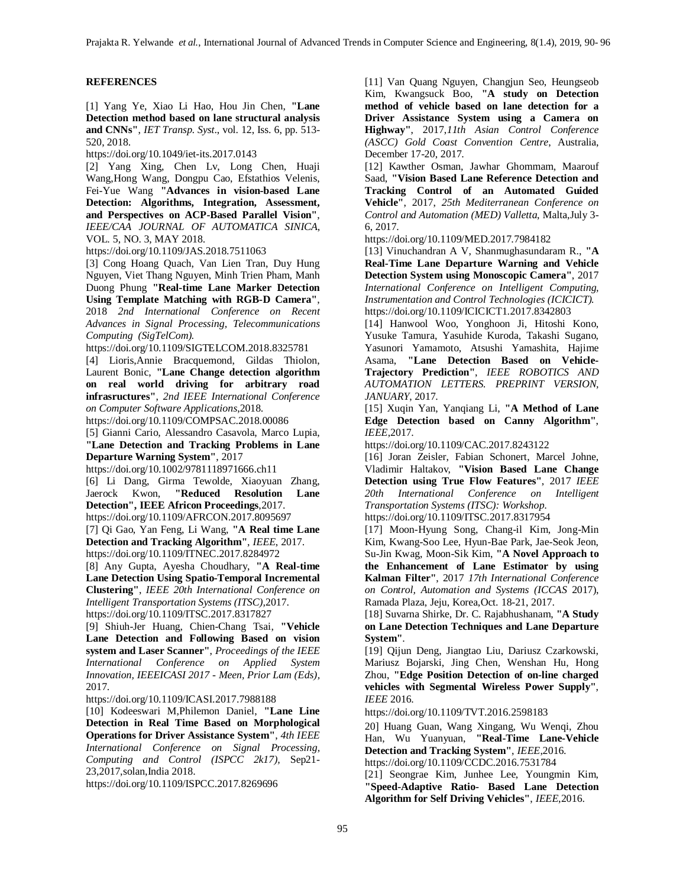# **REFERENCES**

[1] Yang Ye, Xiao Li Hao, Hou Jin Chen, **"Lane Detection method based on lane structural analysis and CNNs"**, *IET Transp. Syst*., vol. 12, Iss. 6, pp. 513- 520, 2018.

https://doi.org/10.1049/iet-its.2017.0143

[2] Yang Xing, Chen Lv, Long Chen, Huaji Wang,Hong Wang, Dongpu Cao, Efstathios Velenis, Fei-Yue Wang **"Advances in vision-based Lane Detection: Algorithms, Integration, Assessment, and Perspectives on ACP-Based Parallel Vision"**, *IEEE/CAA JOURNAL OF AUTOMATICA SINICA*, VOL. 5, NO. 3, MAY 2018.

https://doi.org/10.1109/JAS.2018.7511063

[3] Cong Hoang Quach, Van Lien Tran, Duy Hung Nguyen, Viet Thang Nguyen, Minh Trien Pham, Manh Duong Phung **"Real-time Lane Marker Detection Using Template Matching with RGB-D Camera"**, 2018 *2nd International Conference on Recent Advances in Signal Processing, Telecommunications Computing (SigTelCom).*

https://doi.org/10.1109/SIGTELCOM.2018.8325781

[4] Lioris,Annie Bracquemond, Gildas Thiolon, Laurent Bonic, **"Lane Change detection algorithm on real world driving for arbitrary road infrasructures"**, *2nd IEEE International Conference on Computer Software Applications*,2018.

https://doi.org/10.1109/COMPSAC.2018.00086

[5] Gianni Cario, Alessandro Casavola, Marco Lupia, **"Lane Detection and Tracking Problems in Lane Departure Warning System"**, 2017

https://doi.org/10.1002/9781118971666.ch11

[6] Li Dang, Girma Tewolde, Xiaoyuan Zhang, Jaerock Kwon, **"Reduced Resolution Lane Detection", IEEE Africon Proceedings**,2017.

https://doi.org/10.1109/AFRCON.2017.8095697

[7] Qi Gao, Yan Feng, Li Wang, **"A Real time Lane Detection and Tracking Algorithm"**, *IEEE*, 2017. https://doi.org/10.1109/ITNEC.2017.8284972

[8] Any Gupta, Ayesha Choudhary, **"A Real-time Lane Detection Using Spatio-Temporal Incremental Clustering"**, *IEEE 20th International Conference on Intelligent Transportation Systems (ITSC),*2017. https://doi.org/10.1109/ITSC.2017.8317827

[9] Shiuh-Jer Huang, Chien-Chang Tsai, **"Vehicle Lane Detection and Following Based on vision system and Laser Scanner"**, *Proceedings of the IEEE International Conference on Applied System Innovation, IEEEICASI 2017 - Meen, Prior Lam (Eds),* 2017.

https://doi.org/10.1109/ICASI.2017.7988188

[10] Kodeeswari M,Philemon Daniel, **"Lane Line Detection in Real Time Based on Morphological Operations for Driver Assistance System"**, *4th IEEE International Conference on Signal Processing, Computing and Control (ISPCC 2k17),* Sep21- 23,2017,solan,India 2018.

https://doi.org/10.1109/ISPCC.2017.8269696

[11] Van Quang Nguyen, Changjun Seo, Heungseob Kim, Kwangsuck Boo, **"A study on Detection method of vehicle based on lane detection for a Driver Assistance System using a Camera on Highway"**, 2017,*11th Asian Control Conference (ASCC) Gold Coast Convention Centre*, Australia, December 17-20, 2017.

[12] Kawther Osman, Jawhar Ghommam, Maarouf Saad, **"Vision Based Lane Reference Detection and Tracking Control of an Automated Guided Vehicle"**, 2017, *25th Mediterranean Conference on Control and Automation (MED) Valletta*, Malta,July 3- 6, 2017.

https://doi.org/10.1109/MED.2017.7984182

[13] Vinuchandran A V, Shanmughasundaram R., **"A Real-Time Lane Departure Warning and Vehicle Detection System using Monoscopic Camera"**, 2017 *International Conference on Intelligent Computing, Instrumentation and Control Technologies (ICICICT).* https://doi.org/10.1109/ICICICT1.2017.8342803

[14] Hanwool Woo, Yonghoon Ji, Hitoshi Kono, Yusuke Tamura, Yasuhide Kuroda, Takashi Sugano, Yasunori Yamamoto, Atsushi Yamashita, Hajime Asama, **"Lane Detection Based on Vehicle-Trajectory Prediction"**, *IEEE ROBOTICS AND AUTOMATION LETTERS. PREPRINT VERSION, JANUARY*, 2017.

[15] Xuqin Yan, Yanqiang Li, **"A Method of Lane Edge Detection based on Canny Algorithm"**, *IEEE*,2017.

https://doi.org/10.1109/CAC.2017.8243122

[16] Joran Zeisler, Fabian Schonert, Marcel Johne, Vladimir Haltakov, **"Vision Based Lane Change Detection using True Flow Features"**, 2017 *IEEE 20th International Conference on Intelligent Transportation Systems (ITSC): Workshop.*

https://doi.org/10.1109/ITSC.2017.8317954

[17] Moon-Hyung Song, Chang-il Kim, Jong-Min Kim, Kwang-Soo Lee, Hyun-Bae Park, Jae-Seok Jeon, Su-Jin Kwag, Moon-Sik Kim, **"A Novel Approach to the Enhancement of Lane Estimator by using Kalman Filter"**, 2017 *17th International Conference on Control, Automation and Systems (ICCAS* 2017), Ramada Plaza, Jeju, Korea,Oct. 18-21, 2017.

[18] Suvarna Shirke, Dr. C. Rajabhushanam, **"A Study on Lane Detection Techniques and Lane Departure System"**.

[19] Qijun Deng, Jiangtao Liu, Dariusz Czarkowski, Mariusz Bojarski, Jing Chen, Wenshan Hu, Hong Zhou, **"Edge Position Detection of on-line charged vehicles with Segmental Wireless Power Supply"**, *IEEE* 2016.

https://doi.org/10.1109/TVT.2016.2598183

20] Huang Guan, Wang Xingang, Wu Wenqi, Zhou Han, Wu Yuanyuan, **"Real-Time Lane-Vehicle Detection and Tracking System"**, *IEEE*,2016.

https://doi.org/10.1109/CCDC.2016.7531784

[21] Seongrae Kim, Junhee Lee, Youngmin Kim, **"Speed-Adaptive Ratio- Based Lane Detection Algorithm for Self Driving Vehicles"**, *IEEE*,2016.